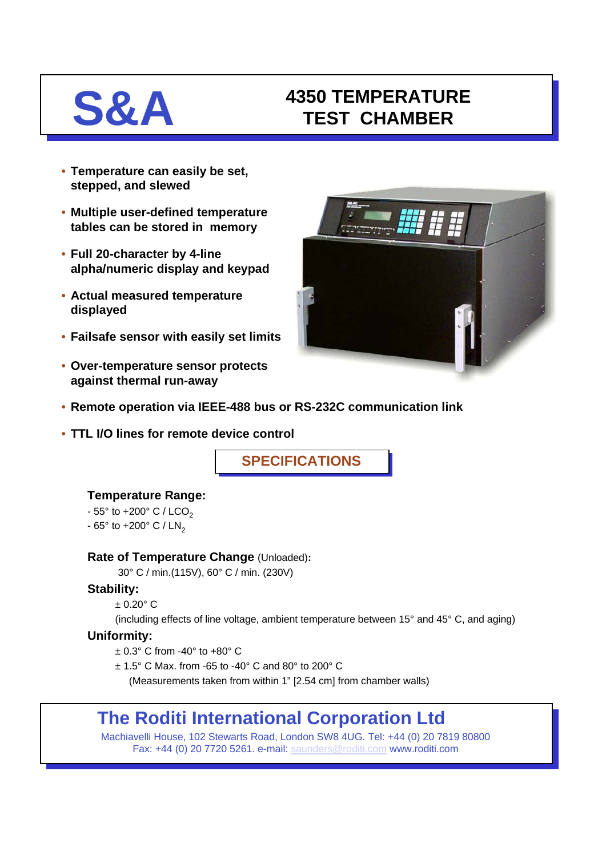## **S&A 4350 TEMPERATURE TEST CHAMBER**

- **Temperature can easily be set, stepped, and slewed**
- **Multiple user-defined temperature tables can be stored in memory**
- **Full 20-character by 4-line alpha/numeric display and keypad**
- **Actual measured temperature displayed**
- **Failsafe sensor with easily set limits**
- **Over-temperature sensor protects against thermal run-away**



- **Remote operation via IEEE-488 bus or RS-232C communication link**
- **TTL I/O lines for remote device control**

**SPECIFICATIONS**

## **Temperature Range:**

- $-55^{\circ}$  to  $+200^{\circ}$  C / LCO<sub>2</sub>
- $-65^\circ$  to  $+200^\circ$  C / LN<sub>2</sub>

### **Rate of Temperature Change** (Unloaded)**:**

30° C / min.(115V), 60° C / min. (230V)

## **Stability:**

 $+0.20^{\circ}$  C

(including effects of line voltage, ambient temperature between 15° and 45° C, and aging)

## **Uniformity:**

- $\pm$  0.3° C from -40° to +80° C
- ± 1.5° C Max. from -65 to -40° C and 80° to 200° C

(Measurements taken from within 1" [2.54 cm] from chamber walls)

# **The Roditi International Corporation Ltd**

Machiavelli House, 102 Stewarts Road, London SW8 4UG. Tel: +44 (0) 20 7819 80800 Fax: +44 (0) 20 7720 5261. e-mail: [saunders@roditi.com](mailto:saunders@roditi.com) www.roditi.com